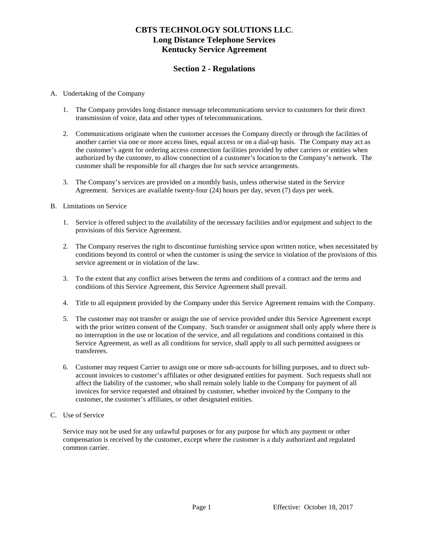## **Section 2 - Regulations**

### A. Undertaking of the Company

- 1. The Company provides long distance message telecommunications service to customers for their direct transmission of voice, data and other types of telecommunications.
- 2. Communications originate when the customer accesses the Company directly or through the facilities of another carrier via one or more access lines, equal access or on a dial-up basis. The Company may act as the customer's agent for ordering access connection facilities provided by other carriers or entities when authorized by the customer, to allow connection of a customer's location to the Company's network. The customer shall be responsible for all charges due for such service arrangements.
- 3. The Company's services are provided on a monthly basis, unless otherwise stated in the Service Agreement. Services are available twenty-four (24) hours per day, seven (7) days per week.

#### B. Limitations on Service

- 1. Service is offered subject to the availability of the necessary facilities and/or equipment and subject to the provisions of this Service Agreement.
- 2. The Company reserves the right to discontinue furnishing service upon written notice, when necessitated by conditions beyond its control or when the customer is using the service in violation of the provisions of this service agreement or in violation of the law.
- 3. To the extent that any conflict arises between the terms and conditions of a contract and the terms and conditions of this Service Agreement, this Service Agreement shall prevail.
- 4. Title to all equipment provided by the Company under this Service Agreement remains with the Company.
- 5. The customer may not transfer or assign the use of service provided under this Service Agreement except with the prior written consent of the Company. Such transfer or assignment shall only apply where there is no interruption in the use or location of the service, and all regulations and conditions contained in this Service Agreement, as well as all conditions for service, shall apply to all such permitted assignees or transferees.
- 6. Customer may request Carrier to assign one or more sub-accounts for billing purposes, and to direct subaccount invoices to customer's affiliates or other designated entities for payment. Such requests shall not affect the liability of the customer, who shall remain solely liable to the Company for payment of all invoices for service requested and obtained by customer, whether invoiced by the Company to the customer, the customer's affiliates, or other designated entities.
- C. Use of Service

Service may not be used for any unlawful purposes or for any purpose for which any payment or other compensation is received by the customer, except where the customer is a duly authorized and regulated common carrier.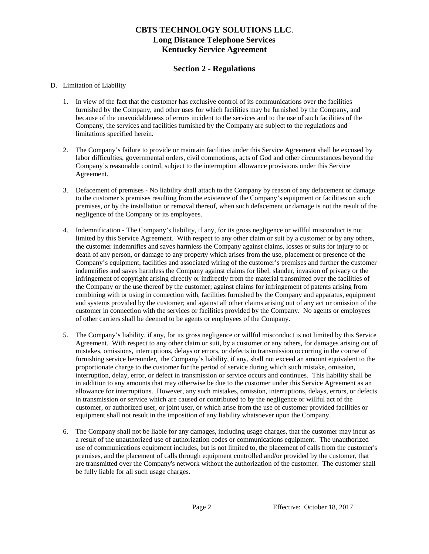## **Section 2 - Regulations**

### D. Limitation of Liability

- 1. In view of the fact that the customer has exclusive control of its communications over the facilities furnished by the Company, and other uses for which facilities may be furnished by the Company, and because of the unavoidableness of errors incident to the services and to the use of such facilities of the Company, the services and facilities furnished by the Company are subject to the regulations and limitations specified herein.
- 2. The Company's failure to provide or maintain facilities under this Service Agreement shall be excused by labor difficulties, governmental orders, civil commotions, acts of God and other circumstances beyond the Company's reasonable control, subject to the interruption allowance provisions under this Service Agreement.
- 3. Defacement of premises No liability shall attach to the Company by reason of any defacement or damage to the customer's premises resulting from the existence of the Company's equipment or facilities on such premises, or by the installation or removal thereof, when such defacement or damage is not the result of the negligence of the Company or its employees.
- 4. Indemnification The Company's liability, if any, for its gross negligence or willful misconduct is not limited by this Service Agreement. With respect to any other claim or suit by a customer or by any others, the customer indemnifies and saves harmless the Company against claims, losses or suits for injury to or death of any person, or damage to any property which arises from the use, placement or presence of the Company's equipment, facilities and associated wiring of the customer's premises and further the customer indemnifies and saves harmless the Company against claims for libel, slander, invasion of privacy or the infringement of copyright arising directly or indirectly from the material transmitted over the facilities of the Company or the use thereof by the customer; against claims for infringement of patents arising from combining with or using in connection with, facilities furnished by the Company and apparatus, equipment and systems provided by the customer; and against all other claims arising out of any act or omission of the customer in connection with the services or facilities provided by the Company. No agents or employees of other carriers shall be deemed to be agents or employees of the Company.
- 5. The Company's liability, if any, for its gross negligence or willful misconduct is not limited by this Service Agreement. With respect to any other claim or suit, by a customer or any others, for damages arising out of mistakes, omissions, interruptions, delays or errors, or defects in transmission occurring in the course of furnishing service hereunder, the Company's liability, if any, shall not exceed an amount equivalent to the proportionate charge to the customer for the period of service during which such mistake, omission, interruption, delay, error, or defect in transmission or service occurs and continues. This liability shall be in addition to any amounts that may otherwise be due to the customer under this Service Agreement as an allowance for interruptions. However, any such mistakes, omission, interruptions, delays, errors, or defects in transmission or service which are caused or contributed to by the negligence or willful act of the customer, or authorized user, or joint user, or which arise from the use of customer provided facilities or equipment shall not result in the imposition of any liability whatsoever upon the Company.
- 6. The Company shall not be liable for any damages, including usage charges, that the customer may incur as a result of the unauthorized use of authorization codes or communications equipment. The unauthorized use of communications equipment includes, but is not limited to, the placement of calls from the customer's premises, and the placement of calls through equipment controlled and/or provided by the customer, that are transmitted over the Company's network without the authorization of the customer. The customer shall be fully liable for all such usage charges.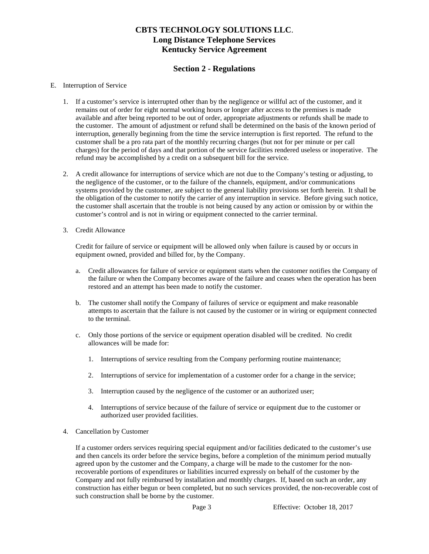## **Section 2 - Regulations**

#### E. Interruption of Service

- 1. If a customer's service is interrupted other than by the negligence or willful act of the customer, and it remains out of order for eight normal working hours or longer after access to the premises is made available and after being reported to be out of order, appropriate adjustments or refunds shall be made to the customer. The amount of adjustment or refund shall be determined on the basis of the known period of interruption, generally beginning from the time the service interruption is first reported. The refund to the customer shall be a pro rata part of the monthly recurring charges (but not for per minute or per call charges) for the period of days and that portion of the service facilities rendered useless or inoperative. The refund may be accomplished by a credit on a subsequent bill for the service.
- 2. A credit allowance for interruptions of service which are not due to the Company's testing or adjusting, to the negligence of the customer, or to the failure of the channels, equipment, and/or communications systems provided by the customer, are subject to the general liability provisions set forth herein. It shall be the obligation of the customer to notify the carrier of any interruption in service. Before giving such notice, the customer shall ascertain that the trouble is not being caused by any action or omission by or within the customer's control and is not in wiring or equipment connected to the carrier terminal.
- 3. Credit Allowance

Credit for failure of service or equipment will be allowed only when failure is caused by or occurs in equipment owned, provided and billed for, by the Company.

- a. Credit allowances for failure of service or equipment starts when the customer notifies the Company of the failure or when the Company becomes aware of the failure and ceases when the operation has been restored and an attempt has been made to notify the customer.
- b. The customer shall notify the Company of failures of service or equipment and make reasonable attempts to ascertain that the failure is not caused by the customer or in wiring or equipment connected to the terminal.
- c. Only those portions of the service or equipment operation disabled will be credited. No credit allowances will be made for:
	- 1. Interruptions of service resulting from the Company performing routine maintenance;
	- 2. Interruptions of service for implementation of a customer order for a change in the service;
	- 3. Interruption caused by the negligence of the customer or an authorized user;
	- 4. Interruptions of service because of the failure of service or equipment due to the customer or authorized user provided facilities.
- 4. Cancellation by Customer

If a customer orders services requiring special equipment and/or facilities dedicated to the customer's use and then cancels its order before the service begins, before a completion of the minimum period mutually agreed upon by the customer and the Company, a charge will be made to the customer for the nonrecoverable portions of expenditures or liabilities incurred expressly on behalf of the customer by the Company and not fully reimbursed by installation and monthly charges. If, based on such an order, any construction has either begun or been completed, but no such services provided, the non-recoverable cost of such construction shall be borne by the customer.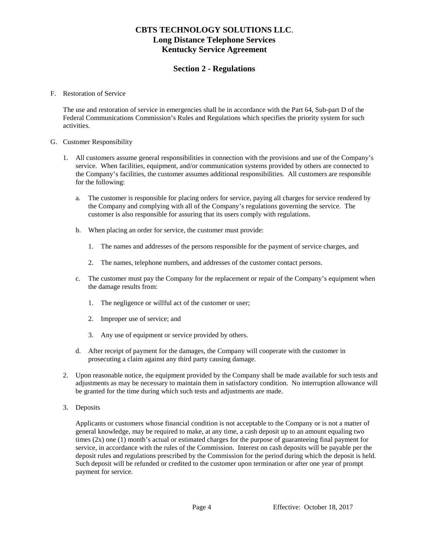## **Section 2 - Regulations**

#### F. Restoration of Service

The use and restoration of service in emergencies shall be in accordance with the Part 64, Sub-part D of the Federal Communications Commission's Rules and Regulations which specifies the priority system for such activities.

#### G. Customer Responsibility

- 1. All customers assume general responsibilities in connection with the provisions and use of the Company's service. When facilities, equipment, and/or communication systems provided by others are connected to the Company's facilities, the customer assumes additional responsibilities. All customers are responsible for the following:
	- a. The customer is responsible for placing orders for service, paying all charges for service rendered by the Company and complying with all of the Company's regulations governing the service. The customer is also responsible for assuring that its users comply with regulations.
	- b. When placing an order for service, the customer must provide:
		- 1. The names and addresses of the persons responsible for the payment of service charges, and
		- 2. The names, telephone numbers, and addresses of the customer contact persons.
	- c. The customer must pay the Company for the replacement or repair of the Company's equipment when the damage results from:
		- 1. The negligence or willful act of the customer or user;
		- 2. Improper use of service; and
		- 3. Any use of equipment or service provided by others.
	- d. After receipt of payment for the damages, the Company will cooperate with the customer in prosecuting a claim against any third party causing damage.
- 2. Upon reasonable notice, the equipment provided by the Company shall be made available for such tests and adjustments as may be necessary to maintain them in satisfactory condition. No interruption allowance will be granted for the time during which such tests and adjustments are made.
- 3. Deposits

Applicants or customers whose financial condition is not acceptable to the Company or is not a matter of general knowledge, may be required to make, at any time, a cash deposit up to an amount equaling two times  $(2x)$  one  $(1)$  month's actual or estimated charges for the purpose of guaranteeing final payment for service, in accordance with the rules of the Commission. Interest on cash deposits will be payable per the deposit rules and regulations prescribed by the Commission for the period during which the deposit is held. Such deposit will be refunded or credited to the customer upon termination or after one year of prompt payment for service.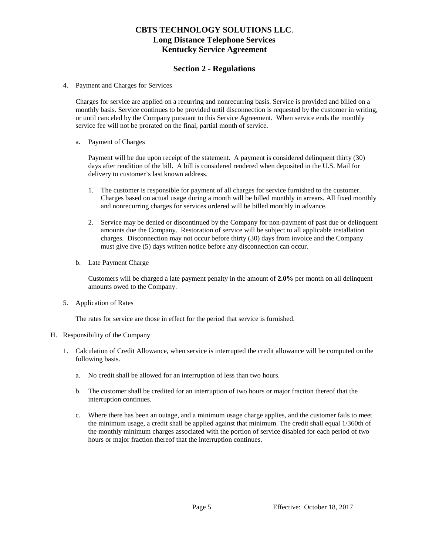### **Section 2 - Regulations**

4. Payment and Charges for Services

Charges for service are applied on a recurring and nonrecurring basis. Service is provided and billed on a monthly basis. Service continues to be provided until disconnection is requested by the customer in writing, or until canceled by the Company pursuant to this Service Agreement. When service ends the monthly service fee will not be prorated on the final, partial month of service.

#### a. Payment of Charges

Payment will be due upon receipt of the statement. A payment is considered delinquent thirty (30) days after rendition of the bill. A bill is considered rendered when deposited in the U.S. Mail for delivery to customer's last known address.

- 1. The customer is responsible for payment of all charges for service furnished to the customer. Charges based on actual usage during a month will be billed monthly in arrears. All fixed monthly and nonrecurring charges for services ordered will be billed monthly in advance.
- 2. Service may be denied or discontinued by the Company for non-payment of past due or delinquent amounts due the Company. Restoration of service will be subject to all applicable installation charges. Disconnection may not occur before thirty (30) days from invoice and the Company must give five (5) days written notice before any disconnection can occur.
- b. Late Payment Charge

Customers will be charged a late payment penalty in the amount of **2.0%** per month on all delinquent amounts owed to the Company.

5. Application of Rates

The rates for service are those in effect for the period that service is furnished.

### H. Responsibility of the Company

- 1. Calculation of Credit Allowance, when service is interrupted the credit allowance will be computed on the following basis.
	- a. No credit shall be allowed for an interruption of less than two hours.
	- b. The customer shall be credited for an interruption of two hours or major fraction thereof that the interruption continues.
	- c. Where there has been an outage, and a minimum usage charge applies, and the customer fails to meet the minimum usage, a credit shall be applied against that minimum. The credit shall equal 1/360th of the monthly minimum charges associated with the portion of service disabled for each period of two hours or major fraction thereof that the interruption continues.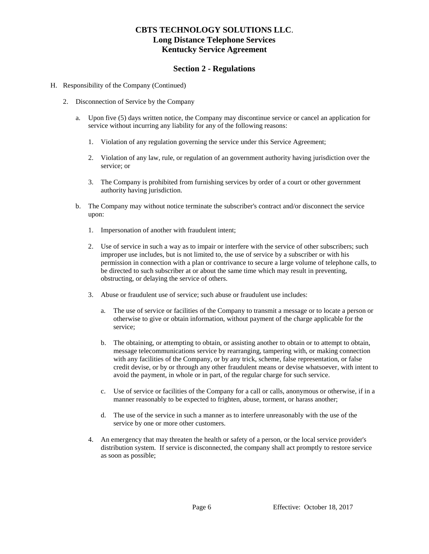### **Section 2 - Regulations**

- H. Responsibility of the Company (Continued)
	- 2. Disconnection of Service by the Company
		- a. Upon five (5) days written notice, the Company may discontinue service or cancel an application for service without incurring any liability for any of the following reasons:
			- 1. Violation of any regulation governing the service under this Service Agreement;
			- 2. Violation of any law, rule, or regulation of an government authority having jurisdiction over the service; or
			- 3. The Company is prohibited from furnishing services by order of a court or other government authority having jurisdiction.
		- b. The Company may without notice terminate the subscriber's contract and/or disconnect the service upon:
			- 1. Impersonation of another with fraudulent intent;
			- 2. Use of service in such a way as to impair or interfere with the service of other subscribers; such improper use includes, but is not limited to, the use of service by a subscriber or with his permission in connection with a plan or contrivance to secure a large volume of telephone calls, to be directed to such subscriber at or about the same time which may result in preventing, obstructing, or delaying the service of others.
			- 3. Abuse or fraudulent use of service; such abuse or fraudulent use includes:
				- a. The use of service or facilities of the Company to transmit a message or to locate a person or otherwise to give or obtain information, without payment of the charge applicable for the service;
				- b. The obtaining, or attempting to obtain, or assisting another to obtain or to attempt to obtain, message telecommunications service by rearranging, tampering with, or making connection with any facilities of the Company, or by any trick, scheme, false representation, or false credit devise, or by or through any other fraudulent means or devise whatsoever, with intent to avoid the payment, in whole or in part, of the regular charge for such service.
				- c. Use of service or facilities of the Company for a call or calls, anonymous or otherwise, if in a manner reasonably to be expected to frighten, abuse, torment, or harass another;
				- d. The use of the service in such a manner as to interfere unreasonably with the use of the service by one or more other customers.
			- 4. An emergency that may threaten the health or safety of a person, or the local service provider's distribution system. If service is disconnected, the company shall act promptly to restore service as soon as possible;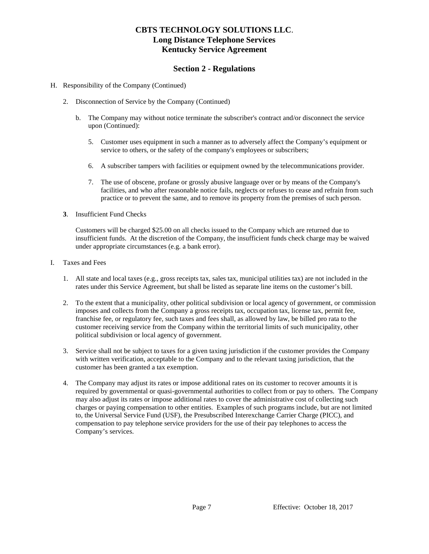### **Section 2 - Regulations**

#### H. Responsibility of the Company (Continued)

- 2. Disconnection of Service by the Company (Continued)
	- b. The Company may without notice terminate the subscriber's contract and/or disconnect the service upon (Continued):
		- 5. Customer uses equipment in such a manner as to adversely affect the Company's equipment or service to others, or the safety of the company's employees or subscribers;
		- 6. A subscriber tampers with facilities or equipment owned by the telecommunications provider.
		- 7. The use of obscene, profane or grossly abusive language over or by means of the Company's facilities, and who after reasonable notice fails, neglects or refuses to cease and refrain from such practice or to prevent the same, and to remove its property from the premises of such person.
- **3**. Insufficient Fund Checks

Customers will be charged \$25.00 on all checks issued to the Company which are returned due to insufficient funds. At the discretion of the Company, the insufficient funds check charge may be waived under appropriate circumstances (e.g. a bank error).

- I. Taxes and Fees
	- 1. All state and local taxes (e.g., gross receipts tax, sales tax, municipal utilities tax) are not included in the rates under this Service Agreement, but shall be listed as separate line items on the customer's bill.
	- 2. To the extent that a municipality, other political subdivision or local agency of government, or commission imposes and collects from the Company a gross receipts tax, occupation tax, license tax, permit fee, franchise fee, or regulatory fee, such taxes and fees shall, as allowed by law, be billed pro rata to the customer receiving service from the Company within the territorial limits of such municipality, other political subdivision or local agency of government.
	- 3. Service shall not be subject to taxes for a given taxing jurisdiction if the customer provides the Company with written verification, acceptable to the Company and to the relevant taxing jurisdiction, that the customer has been granted a tax exemption.
	- 4. The Company may adjust its rates or impose additional rates on its customer to recover amounts it is required by governmental or quasi-governmental authorities to collect from or pay to others. The Company may also adjust its rates or impose additional rates to cover the administrative cost of collecting such charges or paying compensation to other entities. Examples of such programs include, but are not limited to, the Universal Service Fund (USF), the Presubscribed Interexchange Carrier Charge (PICC), and compensation to pay telephone service providers for the use of their pay telephones to access the Company's services.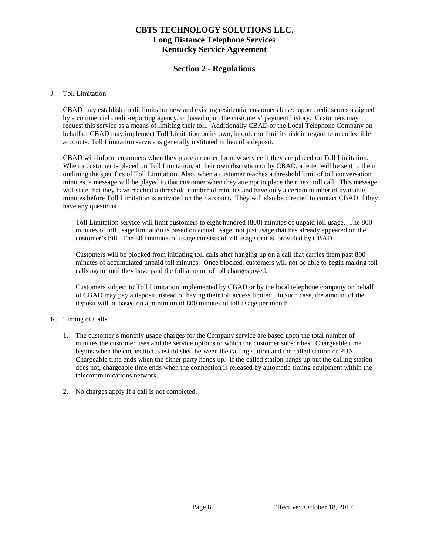### **Section 2 - Regulations**

#### J. Toll Limitation

CBAD may establish credit limits for new and existing residential customers based upon credit scores assigned by a commercial credit-reporting agency, or based upon the customers' payment history. Customers may request this service as a means of limiting their toll. Additionally CBAD or the Local Telephone Company on behalf of CBAD may implement Toll Limitation on its own, in order to limit its risk in regard to uncollectible accounts. Toll Limitation service is generally instituted in lieu of a deposit.

CBAD will inform customers when they place an order for new service if they are placed on Toll Limitation. When a customer is placed on Toll Limitation, at their own discretion or by CBAD, a letter will be sent to them outlining the specifics of Toll Limitation. Also, when a customer reaches a threshold limit of toll conversation minutes, a message will be played to that customer when they attempt to place their next toll call. This message will state that they have reached a threshold number of minutes and have only a certain number of available minutes before Toll Limitation is activated on their account. They will also be directed to contact CBAD if they have any questions.

Toll Limitation service will limit customers to eight hundred (800) minutes of unpaid toll usage. The 800 minutes of toll usage limitation is based on actual usage, not just usage that has already appeared on the customer's bill. The 800 minutes of usage consists of toll usage that is provided by CBAD.

Customers will be blocked from initiating toll calls after hanging up on a call that carries them past 800 minutes of accumulated unpaid toll minutes. Once blocked, customers will not be able to begin making toll calls again until they have paid the full amount of toll charges owed.

Customers subject to Toll Limitation implemented by CBAD or by the local telephone company on behalf of CBAD may pay a deposit instead of having their toll access limited. In such case, the amount of the deposit will be based on a minimum of 800 minutes of toll usage per month.

### K. Timing of Calls

- 1. The customer's monthly usage charges for the Company service are based upon the total number of minutes the customer uses and the service options to which the customer subscribes. Chargeable time begins when the connection is established between the calling station and the called station or PBX. Chargeable time ends when the either party hangs up. If the called station hangs up but the calling station does not, chargeable time ends when the connection is released by automatic timing equipment within the telecommunications network.
- 2. No charges apply if a call is not completed.